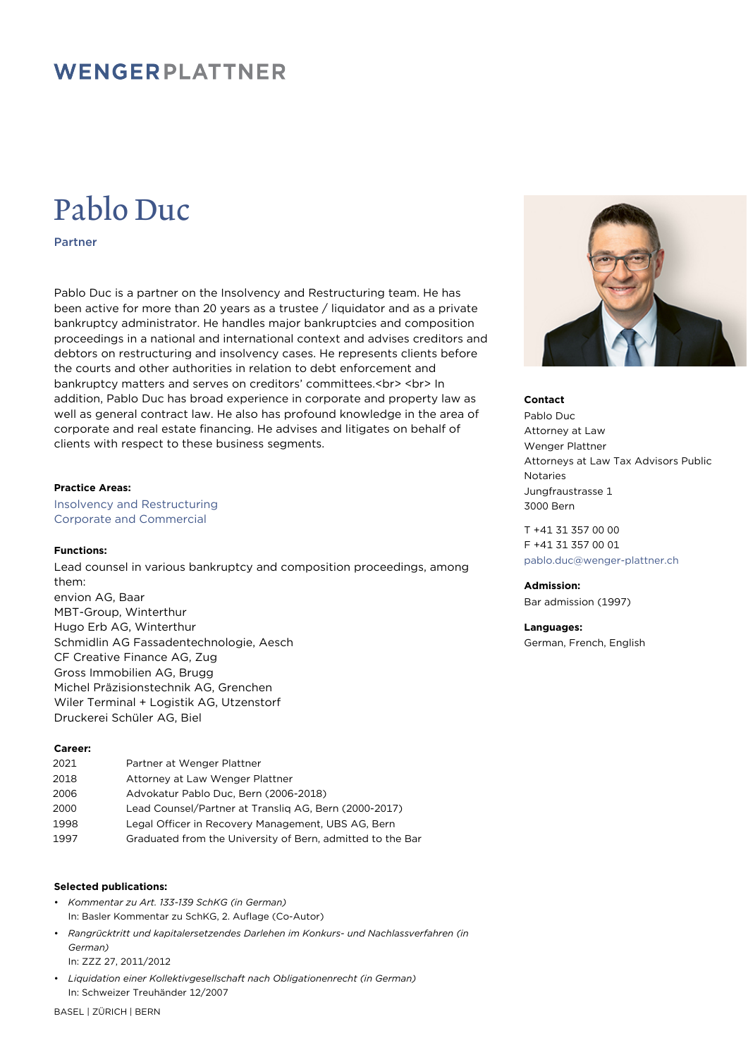### WENGERPLATTNER

# Pablo Duc

Partner

Pablo Duc is a partner on the Insolvency and Restructuring team. He has been active for more than 20 years as a trustee / liquidator and as a private bankruptcy administrator. He handles major bankruptcies and composition proceedings in a national and international context and advises creditors and debtors on restructuring and insolvency cases. He represents clients before the courts and other authorities in relation to debt enforcement and bankruptcy matters and serves on creditors' committees.<br> <br> In addition, Pablo Duc has broad experience in corporate and property law as well as general contract law. He also has profound knowledge in the area of corporate and real estate financing. He advises and litigates on behalf of clients with respect to these business segments.

#### **Practice Areas:**

Insolvency and Restructuring Corporate and Commercial

#### **Functions:**

Lead counsel in various bankruptcy and composition proceedings, among them: envion AG, Baar MBT-Group, Winterthur Hugo Erb AG, Winterthur Schmidlin AG Fassadentechnologie, Aesch CF Creative Finance AG, Zug Gross Immobilien AG, Brugg Michel Präzisionstechnik AG, Grenchen Wiler Terminal + Logistik AG, Utzenstorf Druckerei Schüler AG, Biel

#### **Career:**

| 2021 | Partner at Wenger Plattner                                 |
|------|------------------------------------------------------------|
| 2018 | Attorney at Law Wenger Plattner                            |
| 2006 | Advokatur Pablo Duc, Bern (2006-2018)                      |
| 2000 | Lead Counsel/Partner at Translig AG, Bern (2000-2017)      |
| 1998 | Legal Officer in Recovery Management, UBS AG, Bern         |
| 1997 | Graduated from the University of Bern, admitted to the Bar |
|      |                                                            |

#### **Selected publications:**

- *Kommentar zu Art. 133-139 SchKG (in German)* In: Basler Kommentar zu SchKG, 2. Auflage (Co-Autor)
- *Rangrücktritt und kapitalersetzendes Darlehen im Konkurs- und Nachlassverfahren (in German)* In: ZZZ 27, 2011/2012

• *Liquidation einer Kollektivgesellschaft nach Obligationenrecht (in German)* In: Schweizer Treuhänder 12/2007



#### **Contact**

Pablo Duc Attorney at Law Wenger Plattner Attorneys at Law Tax Advisors Public Notaries Jungfraustrasse 1 3000 Bern

T +41 31 357 00 00 F +41 31 357 00 01 [pablo.duc@wenger-plattner.ch](mailto:pablo.duc@wenger-plattner.ch)

#### **Admission:**

Bar admission (1997)

**Languages:** German, French, English